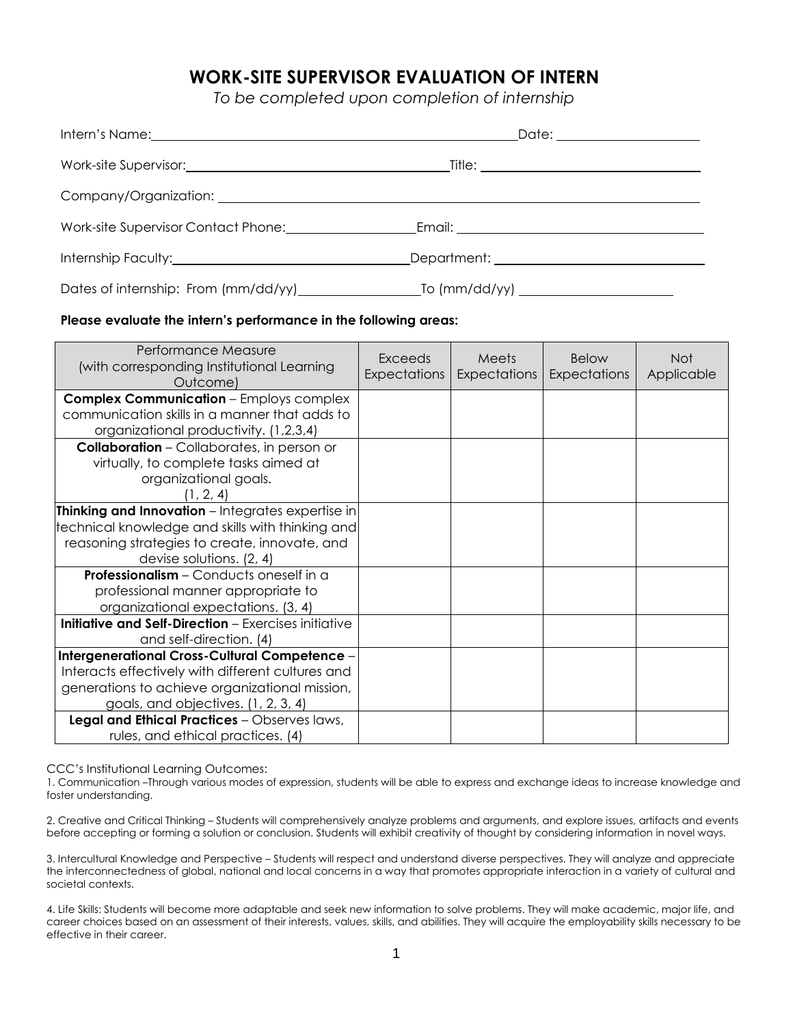# **WORK-SITE SUPERVISOR EVALUATION OF INTERN**

*To be completed upon completion of internship* 

| Date: ___________________             |  |
|---------------------------------------|--|
|                                       |  |
|                                       |  |
|                                       |  |
| Department: _________________________ |  |
|                                       |  |

#### **Please evaluate the intern's performance in the following areas:**

| Performance Measure<br>(with corresponding Institutional Learning<br>Outcome)                                                                                                                                                               | <b>Exceeds</b><br><b>Expectations</b> | Meets<br><b>Expectations</b> | <b>Below</b><br>Expectations | <b>Not</b><br>Applicable |
|---------------------------------------------------------------------------------------------------------------------------------------------------------------------------------------------------------------------------------------------|---------------------------------------|------------------------------|------------------------------|--------------------------|
| <b>Complex Communication - Employs complex</b><br>communication skills in a manner that adds to<br>organizational productivity. (1,2,3,4)                                                                                                   |                                       |                              |                              |                          |
| <b>Collaboration</b> - Collaborates, in person or<br>virtually, to complete tasks aimed at<br>organizational goals.<br>(1, 2, 4)                                                                                                            |                                       |                              |                              |                          |
| Thinking and Innovation - Integrates expertise in<br>technical knowledge and skills with thinking and<br>reasoning strategies to create, innovate, and<br>devise solutions. $(2, 4)$                                                        |                                       |                              |                              |                          |
| <b>Professionalism</b> – Conducts oneself in a<br>professional manner appropriate to<br>organizational expectations. (3, 4)                                                                                                                 |                                       |                              |                              |                          |
| <b>Initiative and Self-Direction</b> - Exercises initiative<br>and self-direction. (4)                                                                                                                                                      |                                       |                              |                              |                          |
| Intergenerational Cross-Cultural Competence -<br>Interacts effectively with different cultures and<br>generations to achieve organizational mission,<br>goals, and objectives. (1, 2, 3, 4)<br>Legal and Ethical Practices - Observes laws, |                                       |                              |                              |                          |
| rules, and ethical practices. (4)                                                                                                                                                                                                           |                                       |                              |                              |                          |

CCC's Institutional Learning Outcomes:

 1. Communication –Through various modes of expression, students will be able to express and exchange ideas to increase knowledge and foster understanding.

 2. Creative and Critical Thinking – Students will comprehensively analyze problems and arguments, and explore issues, artifacts and events before accepting or forming a solution or conclusion. Students will exhibit creativity of thought by considering information in novel ways.

 3. Intercultural Knowledge and Perspective – Students will respect and understand diverse perspectives. They will analyze and appreciate the interconnectedness of global, national and local concerns in a way that promotes appropriate interaction in a variety of cultural and societal contexts.

 4. Life Skills: Students will become more adaptable and seek new information to solve problems. They will make academic, major life, and career choices based on an assessment of their interests, values, skills, and abilities. They will acquire the employability skills necessary to be effective in their career.